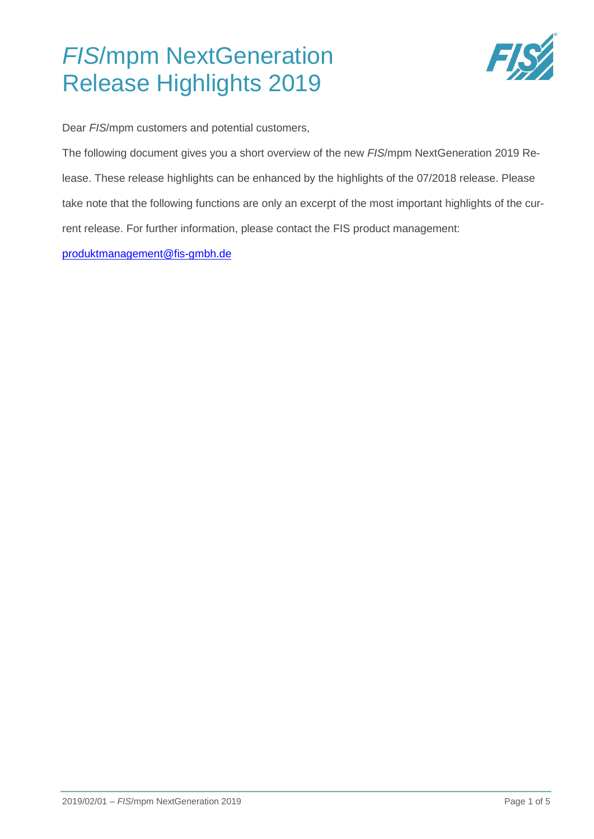

Dear *FIS*/mpm customers and potential customers,

The following document gives you a short overview of the new *FIS*/mpm NextGeneration 2019 Release. These release highlights can be enhanced by the highlights of the 07/2018 release. Please take note that the following functions are only an excerpt of the most important highlights of the current release. For further information, please contact the FIS product management:

[produktmanagement@fis-gmbh.de](mailto:produktmanagement@fis-gmbh.de)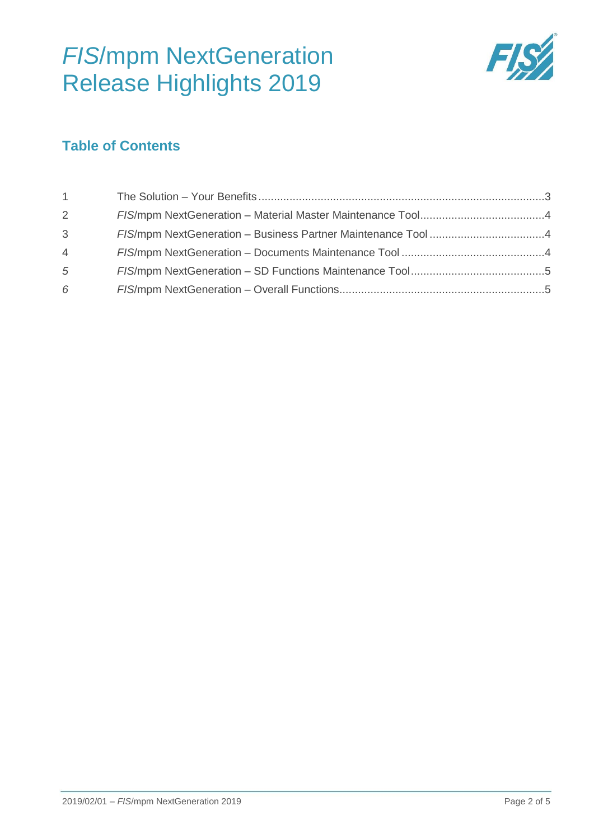

## **Table of Contents**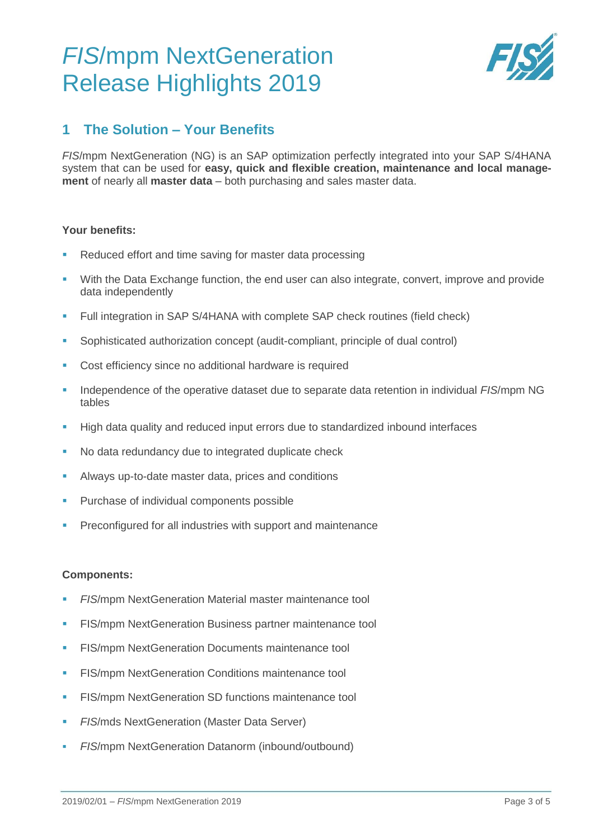

## <span id="page-2-0"></span>**1 The Solution – Your Benefits**

*FIS*/mpm NextGeneration (NG) is an SAP optimization perfectly integrated into your SAP S/4HANA system that can be used for **easy, quick and flexible creation, maintenance and local management** of nearly all **master data** – both purchasing and sales master data.

#### **Your benefits:**

- Reduced effort and time saving for master data processing
- With the Data Exchange function, the end user can also integrate, convert, improve and provide data independently
- Full integration in SAP S/4HANA with complete SAP check routines (field check)
- Sophisticated authorization concept (audit-compliant, principle of dual control)
- Cost efficiency since no additional hardware is required
- Independence of the operative dataset due to separate data retention in individual *FIS*/mpm NG tables
- **High data quality and reduced input errors due to standardized inbound interfaces**
- No data redundancy due to integrated duplicate check
- Always up-to-date master data, prices and conditions
- Purchase of individual components possible
- Preconfigured for all industries with support and maintenance

#### **Components:**

- *FIS*/mpm NextGeneration Material master maintenance tool
- FIS/mpm NextGeneration Business partner maintenance tool
- FIS/mpm NextGeneration Documents maintenance tool
- **FIS/mpm NextGeneration Conditions maintenance tool**
- FIS/mpm NextGeneration SD functions maintenance tool
- **FIS/mds NextGeneration (Master Data Server)**
- *FIS*/mpm NextGeneration Datanorm (inbound/outbound)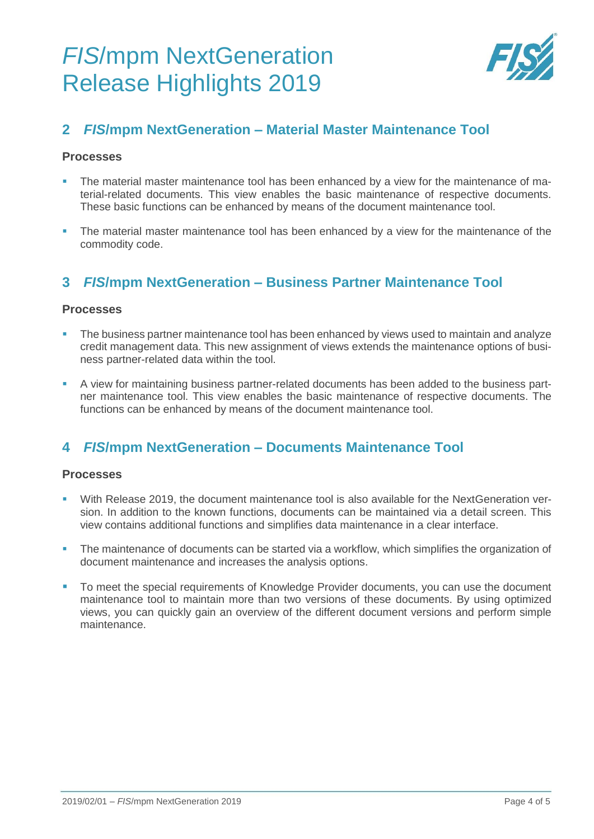

## <span id="page-3-0"></span>**2** *FIS***/mpm NextGeneration – Material Master Maintenance Tool**

#### **Processes**

- The material master maintenance tool has been enhanced by a view for the maintenance of material-related documents. This view enables the basic maintenance of respective documents. These basic functions can be enhanced by means of the document maintenance tool.
- **The material master maintenance tool has been enhanced by a view for the maintenance of the** commodity code.

## <span id="page-3-1"></span>**3** *FIS***/mpm NextGeneration – Business Partner Maintenance Tool**

### **Processes**

- The business partner maintenance tool has been enhanced by views used to maintain and analyze credit management data. This new assignment of views extends the maintenance options of business partner-related data within the tool.
- A view for maintaining business partner-related documents has been added to the business partner maintenance tool. This view enables the basic maintenance of respective documents. The functions can be enhanced by means of the document maintenance tool.

## <span id="page-3-2"></span>**4** *FIS***/mpm NextGeneration – Documents Maintenance Tool**

### **Processes**

- With Release 2019, the document maintenance tool is also available for the NextGeneration version. In addition to the known functions, documents can be maintained via a detail screen. This view contains additional functions and simplifies data maintenance in a clear interface.
- The maintenance of documents can be started via a workflow, which simplifies the organization of document maintenance and increases the analysis options.
- To meet the special requirements of Knowledge Provider documents, you can use the document maintenance tool to maintain more than two versions of these documents. By using optimized views, you can quickly gain an overview of the different document versions and perform simple maintenance.